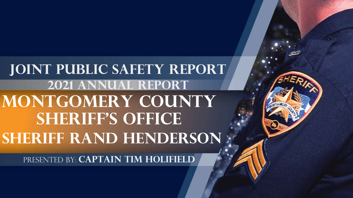**MONTGOMERY COUNTY SHERIFF'S OFFICE Sheriff rand henderson Joint Public Safety Report 2021 Annual report**

PRESENTED BY: **CAPTAIN TIM HOLIFIELD**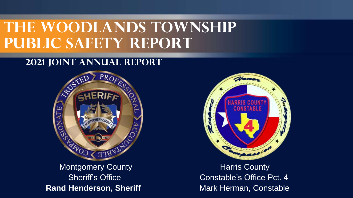#### **2021 Joint Annual Report**



Montgomery County **Montgomery County Harris County Rand Henderson, Sheriff Mark Herman, Constable Constable** 



Sheriff's Office **Constable's Office Pct. 4**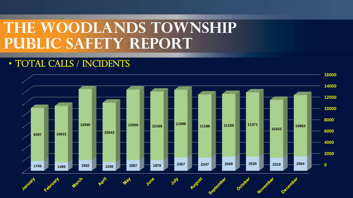#### • TOTAL CALLS / INCIDENTS

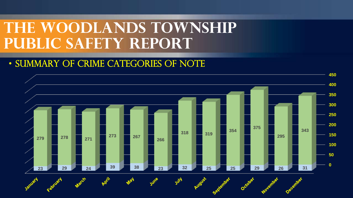#### • SUMMARY OF CRIME CATEGORIES OF NOTE

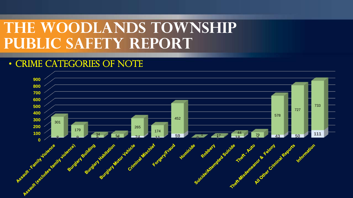#### • CRIME CATEGORIES OF NOTE

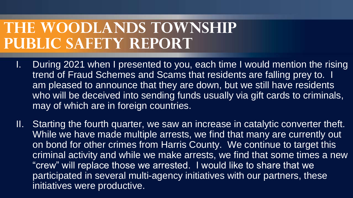- I. During 2021 when I presented to you, each time I would mention the rising trend of Fraud Schemes and Scams that residents are falling prey to. I am pleased to announce that they are down, but we still have residents who will be deceived into sending funds usually via gift cards to criminals, may of which are in foreign countries.
- II. Starting the fourth quarter, we saw an increase in catalytic converter theft. While we have made multiple arrests, we find that many are currently out on bond for other crimes from Harris County. We continue to target this criminal activity and while we make arrests, we find that some times a new "crew" will replace those we arrested. I would like to share that we participated in several multi-agency initiatives with our partners, these initiatives were productive.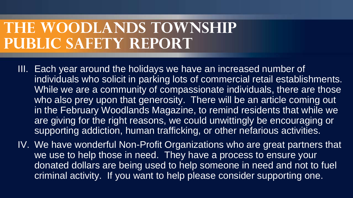- III. Each year around the holidays we have an increased number of individuals who solicit in parking lots of commercial retail establishments. While we are a community of compassionate individuals, there are those who also prey upon that generosity. There will be an article coming out in the February Woodlands Magazine, to remind residents that while we are giving for the right reasons, we could unwittingly be encouraging or supporting addiction, human trafficking, or other nefarious activities.
- IV. We have wonderful Non-Profit Organizations who are great partners that we use to help those in need. They have a process to ensure your donated dollars are being used to help someone in need and not to fuel criminal activity. If you want to help please consider supporting one.